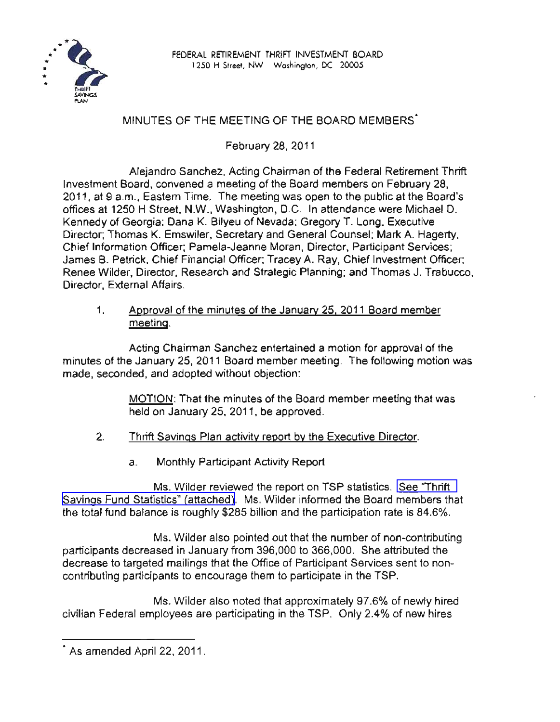

## MINUTES OF THE MEETING OF THE BOARD MEMBERS·

February 28, 2011

Alejandro Sanchez, Acting Chairman of the Federal Retirement Thrift Investment Board, convened a meeting of the Board members on February 28, 2011, at 9 a.m., Eastern Time. The meeting was open to the public at the Board's offices at 1250 H Street, N.W., Washington, D.C. In attendance were Michael D. Kennedy of Georgia; Dana K. Bilyeu of Nevada; Gregory T. Long, Executive Director; Thomas K. Emswiler, Secretary and General Counsel; Mark A. Hagerty, Chief Information Officer; Pamela-Jeanne Moran, Director, Participant Services; James B. Petrick, Chief Financial Officer; Tracey A. Ray, Chief Investment Officer; Renee Wilder, Director, Research and Strategic Planning; and Thomas J. Trabucco, Director, External Affairs.

1. Approval of the minutes of the January 25, 2011 Board member meeting.

Acting Chairman Sanchez entertained a motion for approval of the minutes of the January 25, 2011 Board member meeting. The following motion was made, seconded, and adopted without objection:

> MOTION: That the minutes of the Board member meeting that was held on January 25, 2011, be approved.

- 2. Thrift Savings Plan activity report by the Executive Director.
	- a. Monthly Participant Activity Report

Ms. Wilder reviewed the report on TSP statistics. See ["Thrift](http://www.frtib.gov/pdf/minutes/MM-2011Feb-Att1.pdf) Savings Fund Statistics" [\(attached\).](http://www.frtib.gov/pdf/minutes/MM-2011Feb-Att1.pdf) Ms. Wilder informed the Board members that the total fund balance is roughly \$285 billion and the participation rate is 84.6%.

Ms. Wilder also pointed out that the number of non-contributing participants decreased in January from 396,000 to 366,000. She attributed the decrease to targeted mailings that the Office of Participant Services sent to noncontributing participants to encourage them to participate in the TSP.

Ms. Wilder also noted that approximately 97.6% of newly hired civilian Federal employees are participating in the TSP. Only 2.4% of new hires

<sup>•</sup> As amended April 22, 2011.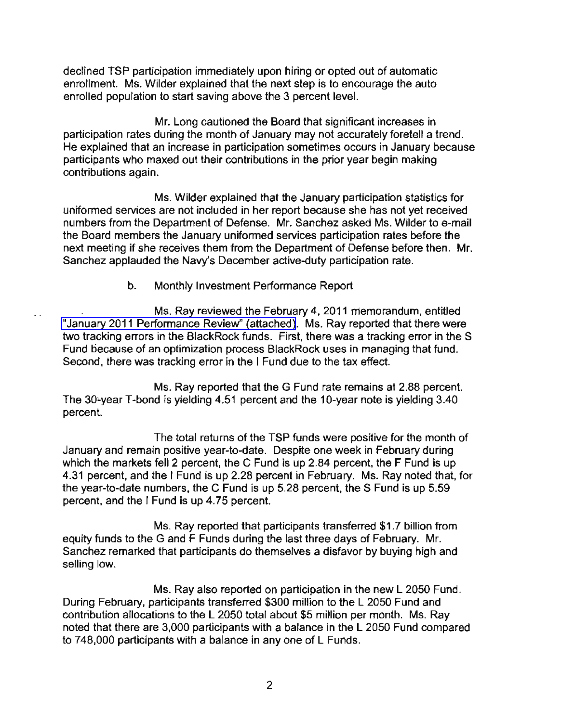declined TSP participation immediately upon hiring or opted out of automatic enrollment. Ms. Wilder explained that the next step is to encourage the auto enrolled population to start saving above the 3 percent level.

Mr. Long cautioned the Board that significant increases in participation rates during the month of January may not accurately foretell a trend. He explained that an increase in participation sometimes occurs in January because participants who maxed out their contributions in the prior year begin making contributions again.

Ms. Wilder explained that the January participation statistics for uniformed services are not included in her report because she has not yet received numbers from the Department of Defense. Mr. Sanchez asked Ms. Wilder to e-mail the Board members the January uniformed services participation rates before the next meeting if she receives them from the Department of Defense before then. Mr. Sanchez applauded the Navy's December active-duty participation rate.

## b. Monthly Investment Performance Report

Ms. Ray reviewed the February 4, 2011 memorandum, entitled "January 2011 [Performance](http://www.frtib.gov/pdf/minutes/MM-2011Feb-Att2.pdf) Review" (attached). Ms. Ray reported that there were two tracking errors in the BlackRock funds. First, there was a tracking error in the S Fund because of an optimization process BlackRock uses in managing that fund. Second, there was tracking error in the I Fund due to the tax effect.

Ms. Ray reported that the G Fund rate remains at 2.88 percent. The 30-year T-bond is yielding 4.51 percent and the 10-year note is yielding  $3.40$ percent.

The total returns of the TSP funds were positive for the month of January and remain positive year-to-date. Despite one week in February during which the markets fell 2 percent, the C Fund is up 2.84 percent, the F Fund is up 4.31 percent, and the I Fund is up 2.28 percent in February. Ms. Ray noted that, for the year-to-date numbers, the C Fund is up 5.28 percent, the S Fund is up 5.59 percent, and the I Fund is up 4.75 percent.

Ms. Ray reported that participants transferred \$1.7 billion from equity funds to the G and F Funds during the last three days of February. Mr. Sanchez remarked that participants do themselves a disfavor by buying high and selling low.

Ms. Ray also reported on participation in the new L 2050 Fund. During February, participants transferred \$300 million to the L 2050 Fund and contribution allocations to the L 2050 total about \$5 million per month. Ms. Ray noted that there are 3,000 participants with a balance in the L 2050 Fund compared to 748,000 participants with a balance in anyone of L Funds.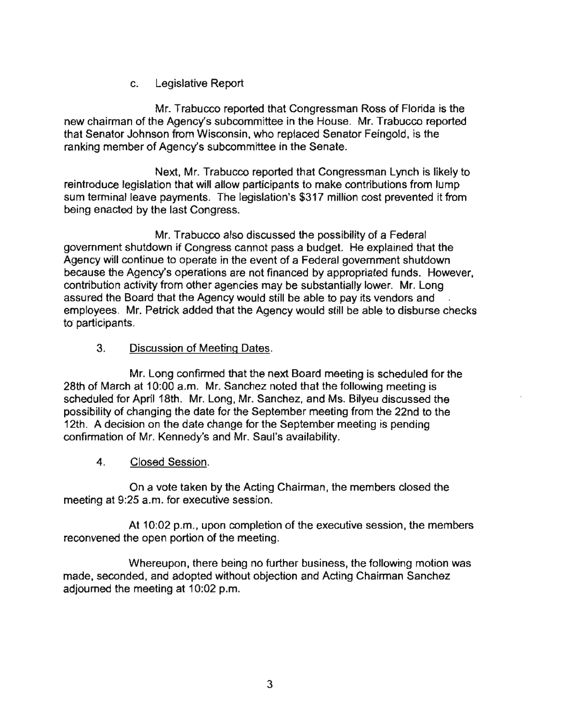## c. Legislative Report

Mr. Trabucco reported that Congressman Ross of Florida is the new chairman of the Agency's subcommittee in the House. Mr. Trabucco reported that Senator Johnson from Wisconsin, who replaced Senator Feingold, is the ranking member of Agency's subcommittee in the Senate.

Next, Mr. Trabucco reported that Congressman Lynch is likely to reintroduce legislation that will allow participants to make contributions from lump sum terminal leave payments. The legislation's \$317 million cost prevented it from being enacted by the last Congress.

Mr. Trabucco also discussed the possibility of a Federal government shutdown if Congress cannot pass a budget. He explained that the Agency will continue to operate in the event of a Federal government shutdown because the Agency's operations are not financed by appropriated funds. However, contribution activity from other agencies may be substantially lower. Mr. Long assured the Board that the Agency would still be able to pay its vendors and employees. Mr. Petrick added that the Agency would still be able to disburse checks to participants.

## 3. Discussion of Meeting Dates.

Mr. Long confirmed that the next Board meeting is scheduled for the 28th of March at 10:00 a.m. Mr. Sanchez noted that the following meeting is scheduled for April 18th. Mr. Long, Mr. Sanchez, and Ms. Bilyeu discussed the possibility of changing the date for the September meeting from the 22nd to the 12th. A decision on the date change for the September meeting is pending confirmation of Mr. Kennedy's and Mr. Saul's availability.

4. Closed Session.

On a vote taken by the Acting Chairman, the members closed the meeting at 9:25 a.m. for executive session.

At 10:02 p.m., upon completion of the executive session, the members reconvened the open portion of the meeting.

Whereupon, there being no further business, the following motion was made, seconded, and adopted without objection and Acting Chairman Sanchez adjourned the meeting at 10:02 p.m.